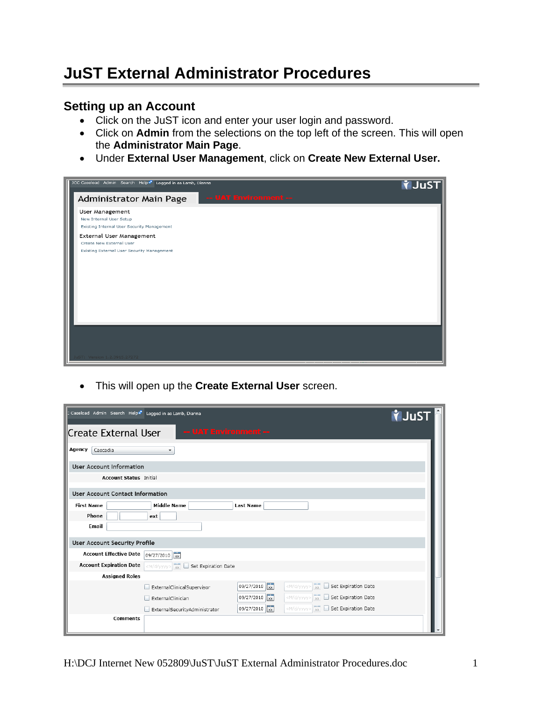## **JuST External Administrator Procedures**

## **Setting up an Account**

- Click on the JuST icon and enter your user login and password.
- Click on **Admin** from the selections on the top left of the screen. This will open the **Administrator Main Page**.
- Under **External User Management**, click on **Create New External User.**

| JCC Caseload Admin Search Help <sup>2</sup> Logged in as Lamb, Dianna                              | <b>VJuST</b> |
|----------------------------------------------------------------------------------------------------|--------------|
| -- UAT Environment --<br>Administrator Main Page                                                   |              |
| User Management<br>New Internal User Setup<br>Existing Internal User Security Management           |              |
| External User Management<br>Create New External User<br>Existing External User Security Management |              |
|                                                                                                    |              |
|                                                                                                    |              |
|                                                                                                    |              |
|                                                                                                    |              |
| Version 1.2.3915.27272                                                                             |              |

• This will open up the **Create External User** screen.

| Caseload Admin Search Help <sup>&amp;</sup> Logged in as Lamb, Dianna |                                             |                  |                                                                         | <b>Y</b> JuST |
|-----------------------------------------------------------------------|---------------------------------------------|------------------|-------------------------------------------------------------------------|---------------|
| Create External User                                                  | -- UAT Environment --                       |                  |                                                                         |               |
| Agency<br>Cascadia                                                    | $\overline{\mathbf{v}}$                     |                  |                                                                         |               |
| <b>User Account Information</b>                                       |                                             |                  |                                                                         |               |
| <b>Account Status Initial</b>                                         |                                             |                  |                                                                         |               |
| <b>User Account Contact Information</b>                               |                                             |                  |                                                                         |               |
| <b>First Name</b>                                                     | <b>Middle Name</b>                          | <b>Last Name</b> |                                                                         |               |
| Phone                                                                 | ext                                         |                  |                                                                         |               |
| Email                                                                 |                                             |                  |                                                                         |               |
| <b>User Account Security Profile</b>                                  |                                             |                  |                                                                         |               |
| <b>Account Effective Date</b>                                         | $09/27/2010$ xx                             |                  |                                                                         |               |
| <b>Account Expiration Date</b>                                        | <m d="" yyyy=""> xx Set Expiration Date</m> |                  |                                                                         |               |
| <b>Assigned Roles</b>                                                 |                                             |                  |                                                                         |               |
|                                                                       | ExternalClinicalSupervisor                  | 09/27/2010 xx    | <m d="" yyyy=""><br/>Set Expiration Date</m>                            |               |
|                                                                       | ExternalClinician                           | 09/27/2010 xx    | Set Expiration Date<br>$\langle M/d/yyyyy>$<br>$\overline{\phantom{a}}$ |               |
|                                                                       | ExternalSecurityAdministrator               | 09/27/2010 xx    | <m d="" yyyy=""> xx<br/>Set Expiration Date</m>                         |               |
| <b>Comments</b>                                                       |                                             |                  |                                                                         |               |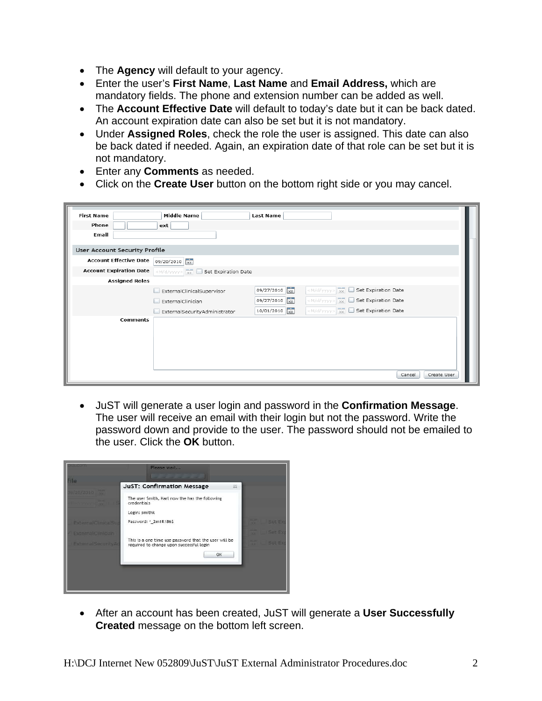- The **Agency** will default to your agency.
- Enter the user's **First Name**, **Last Name** and **Email Address,** which are mandatory fields. The phone and extension number can be added as well.
- The **Account Effective Date** will default to today's date but it can be back dated. An account expiration date can also be set but it is not mandatory.
- Under **Assigned Roles**, check the role the user is assigned. This date can also be back dated if needed. Again, an expiration date of that role can be set but it is not mandatory.
- Enter any **Comments** as needed.
- Click on the **Create User** button on the bottom right side or you may cancel.

| <b>First Name</b>                    | <b>Middle Name</b>                          | <b>Last Name</b> |                                                       |                       |
|--------------------------------------|---------------------------------------------|------------------|-------------------------------------------------------|-----------------------|
| Phone                                | ext                                         |                  |                                                       |                       |
| Email                                |                                             |                  |                                                       |                       |
| <b>User Account Security Profile</b> |                                             |                  |                                                       |                       |
| <b>Account Effective Date</b>        | 09/20/2010 xx                               |                  |                                                       |                       |
| <b>Account Expiration Date</b>       | <m d="" yyyy=""> xx Set Expiration Date</m> |                  |                                                       |                       |
| <b>Assigned Roles</b>                |                                             |                  |                                                       |                       |
|                                      | ExternalClinicalSupervisor<br>H             | 09/27/2010 xx    | <m d="" yyyy=""> xx<br/>Set Expiration Date<br/>ш</m> |                       |
|                                      | ExternalClinician<br>L                      | 09/27/2010 xx    | Set Expiration Date<br>$\langle M/d/yyyyy>$           |                       |
|                                      | ExternalSecurityAdministrator               | 10/01/2010       | <m d="" yyyy=""> xx Set Expiration Date</m>           |                       |
| <b>Comments</b>                      |                                             |                  |                                                       |                       |
|                                      |                                             |                  |                                                       | Cancel<br>Create User |

• JuST will generate a user login and password in the **Confirmation Message**. The user will receive an email with their login but not the password. Write the password down and provide to the user. The password should not be emailed to the user. Click the **OK** button.

|                            | Please wait                                                                                       |        |
|----------------------------|---------------------------------------------------------------------------------------------------|--------|
| ile                        | <b>JuST: Confirmation Message</b><br>$23 -$                                                       |        |
| 20/2010                    | The user Smith, Karl now the has the following<br>credentials                                     |        |
|                            | Login: smithk                                                                                     |        |
| <b>ExternalClinicalSup</b> | Password: *_2m1R186\$                                                                             | Set Ex |
| <b>ExternalCinician</b>    |                                                                                                   | Set Fx |
| <b>ExternalSecurityAd</b>  | This is a one time use password that the user will be<br>required to change upon successful login | Set Ex |
|                            | OK                                                                                                |        |
|                            |                                                                                                   |        |
|                            |                                                                                                   |        |
|                            |                                                                                                   |        |

• After an account has been created, JuST will generate a **User Successfully Created** message on the bottom left screen.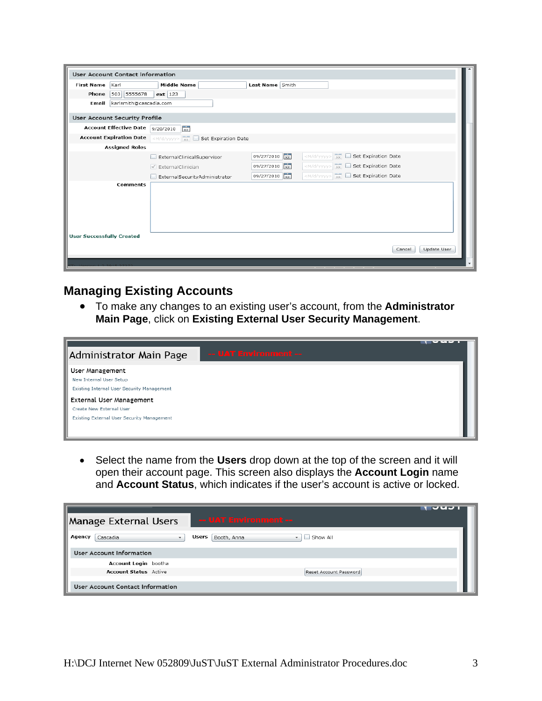| <b>User Account Contact Information</b> |                                             |                                       |                                                    |             |
|-----------------------------------------|---------------------------------------------|---------------------------------------|----------------------------------------------------|-------------|
| Karl<br><b>First Name</b>               | <b>Middle Name</b>                          | Last Name Smith                       |                                                    |             |
| 503 5555678<br>Phone                    | $ext$ 123                                   |                                       |                                                    |             |
| karlsmith@cascadia.com<br>Email         |                                             |                                       |                                                    |             |
| User Account Security Profile           |                                             |                                       |                                                    |             |
| <b>Account Effective Date</b>           | $\overline{\mathbf{x}}$<br>9/20/2010        |                                       |                                                    |             |
| <b>Account Expiration Date</b>          | <m d="" yyyy=""> xx Set Expiration Date</m> |                                       |                                                    |             |
| <b>Assigned Roles</b>                   |                                             |                                       |                                                    |             |
|                                         | ExternalClinicalSupervisor                  | $\overline{\mathbf{x}}$<br>09/27/2010 | <m d="" yyyy=""><br/>Set Expiration Date</m>       |             |
|                                         | $\sqrt{}$ ExternalClinician                 | 09/27/2010 xx                         | Set Expiration Date<br> M/d/yyyy>                  |             |
|                                         | ExternalSecurityAdministrator               | 09/27/2010 xx                         | $\lt M/d/yyyy$ > $\sqrt{x}$<br>Set Expiration Date |             |
| <b>Comments</b>                         |                                             |                                       |                                                    |             |
|                                         |                                             |                                       |                                                    |             |
|                                         |                                             |                                       |                                                    |             |
|                                         |                                             |                                       |                                                    |             |
|                                         |                                             |                                       |                                                    |             |
| <b>User Successfully Created</b>        |                                             |                                       |                                                    |             |
|                                         |                                             |                                       | Cancel                                             | Update User |
|                                         |                                             |                                       |                                                    |             |

## **Managing Existing Accounts**

• To make any changes to an existing user's account, from the **Administrator Main Page**, click on **Existing External User Security Management**.



• Select the name from the **Users** drop down at the top of the screen and it will open their account page. This screen also displays the **Account Login** name and **Account Status**, which indicates if the user's account is active or locked.

| Manage External Users                          | -- UAT Environment --                                        | $\overline{v}$ u $\overline{v}$ |
|------------------------------------------------|--------------------------------------------------------------|---------------------------------|
| Agency<br>Cascadia<br>$\overline{\phantom{a}}$ | Show All<br>Booth, Anna<br>Users<br>$\overline{\phantom{0}}$ |                                 |
| <b>User Account Information</b>                |                                                              |                                 |
| Account Login bootha                           |                                                              |                                 |
| <b>Account Status</b> Active                   | Reset Account Password                                       |                                 |
| <b>User Account Contact Information</b>        |                                                              |                                 |